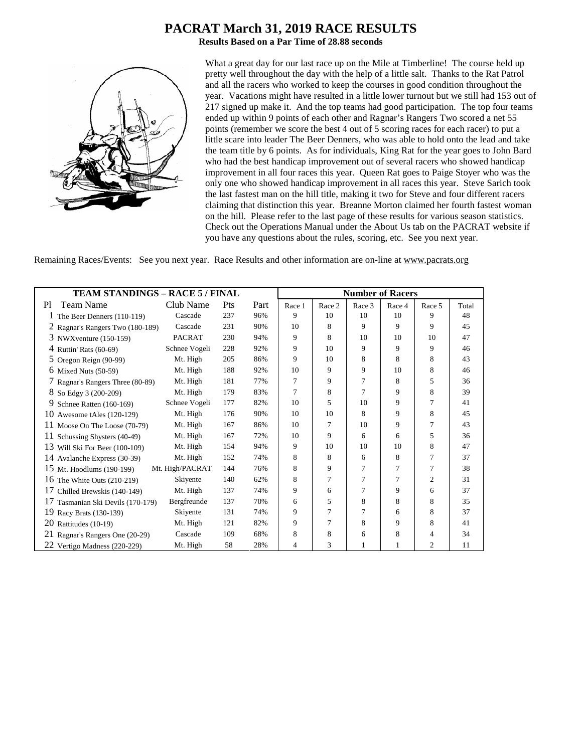# **PACRAT March 31, 2019 RACE RESULTS**

**Results Based on a Par Time of 28.88 seconds**



What a great day for our last race up on the Mile at Timberline! The course held up pretty well throughout the day with the help of a little salt. Thanks to the Rat Patrol and all the racers who worked to keep the courses in good condition throughout the year. Vacations might have resulted in a little lower turnout but we still had 153 out of 217 signed up make it. And the top teams had good participation. The top four teams ended up within 9 points of each other and Ragnar's Rangers Two scored a net 55 points (remember we score the best 4 out of 5 scoring races for each racer) to put a little scare into leader The Beer Denners, who was able to hold onto the lead and take the team title by 6 points. As for individuals, King Rat for the year goes to John Bard who had the best handicap improvement out of several racers who showed handicap improvement in all four races this year. Queen Rat goes to Paige Stoyer who was the only one who showed handicap improvement in all races this year. Steve Sarich took the last fastest man on the hill title, making it two for Steve and four different racers claiming that distinction this year. Breanne Morton claimed her fourth fastest woman on the hill. Please refer to the last page of these results for various season statistics. Check out the Operations Manual under the About Us tab on the PACRAT website if you have any questions about the rules, scoring, etc. See you next year.

Remaining Races/Events: See you next year. Race Results and other information are on-line at www.pacrats.org

|                                      | <b>TEAM STANDINGS - RACE 5 / FINAL</b> |            |      |        | <b>Number of Racers</b> |        |        |                |       |
|--------------------------------------|----------------------------------------|------------|------|--------|-------------------------|--------|--------|----------------|-------|
| Team Name<br>P1                      | Club Name                              | <b>Pts</b> | Part | Race 1 | Race 2                  | Race 3 | Race 4 | Race 5         | Total |
| T<br>The Beer Denners (110-119)      | Cascade                                | 237        | 96%  | 9      | 10                      | 10     | 10     | 9              | 48    |
| 2 Ragnar's Rangers Two (180-189)     | Cascade                                | 231        | 90%  | 10     | 8                       | 9      | 9      | 9              | 45    |
| 3 NWX venture (150-159)              | <b>PACRAT</b>                          | 230        | 94%  | 9      | 8                       | 10     | 10     | 10             | 47    |
| 4 Ruttin' Rats (60-69)               | Schnee Vogeli                          | 228        | 92%  | 9      | 10                      | 9      | 9      | 9              | 46    |
| 5 Oregon Reign (90-99)               | Mt. High                               | 205        | 86%  | 9      | 10                      | 8      | 8      | 8              | 43    |
| $6$ Mixed Nuts $(50-59)$             | Mt. High                               | 188        | 92%  | 10     | 9                       | 9      | 10     | 8              | 46    |
| 7 Ragnar's Rangers Three (80-89)     | Mt. High                               | 181        | 77%  | 7      | 9                       | 7      | 8      | 5              | 36    |
| 8 So Edgy 3 (200-209)                | Mt. High                               | 179        | 83%  | 7      | 8                       | 7      | 9      | 8              | 39    |
| 9<br>Schnee Ratten (160-169)         | Schnee Vogeli                          | 177        | 82%  | 10     | 5                       | 10     | 9      | 7              | 41    |
| 10<br>Awesome tAles (120-129)        | Mt. High                               | 176        | 90%  | 10     | 10                      | 8      | 9      | 8              | 45    |
| 11 Moose On The Loose $(70-79)$      | Mt. High                               | 167        | 86%  | 10     | 7                       | 10     | 9      | 7              | 43    |
| 11<br>Schussing Shysters (40-49)     | Mt. High                               | 167        | 72%  | 10     | 9                       | 6      | 6      | 5              | 36    |
| 13 Will Ski For Beer (100-109)       | Mt. High                               | 154        | 94%  | 9      | 10                      | 10     | 10     | 8              | 47    |
| 14 Avalanche Express (30-39)         | Mt. High                               | 152        | 74%  | 8      | 8                       | 6      | 8      | 7              | 37    |
| 15 Mt. Hoodlums (190-199)            | Mt. High/PACRAT                        | 144        | 76%  | 8      | 9                       | 7      | 7      | 7              | 38    |
| 16<br>The White Outs (210-219)       | Skiyente                               | 140        | 62%  | 8      |                         | 7      | 7      | $\overline{c}$ | 31    |
| 17<br>Chilled Brewskis (140-149)     | Mt. High                               | 137        | 74%  | 9      | 6                       | 7      | 9      | 6              | 37    |
| 17<br>Tasmanian Ski Devils (170-179) | Bergfreunde                            | 137        | 70%  | 6      | 5                       | 8      | 8      | 8              | 35    |
| 19<br>Racy Brats (130-139)           | Skiyente                               | 131        | 74%  | 9      | 7                       | 7      | 6      | 8              | 37    |
| 20<br>Rattitudes (10-19)             | Mt. High                               | 121        | 82%  | 9      | 7                       | 8      | 9      | 8              | 41    |
| 21<br>Ragnar's Rangers One (20-29)   | Cascade                                | 109        | 68%  | 8      | 8                       | 6      | 8      | 4              | 34    |
| 22 Vertigo Madness (220-229)         | Mt. High                               | 58         | 28%  | 4      | 3                       | 1      | 1      | 2              | 11    |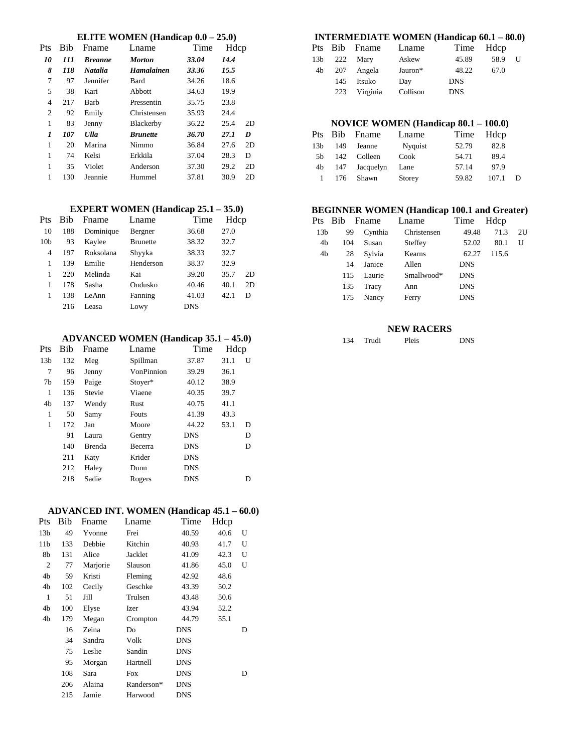## **ELITE WOMEN (Handicap 0.0 – 25.0)**

| Pts | Bib | Fname          | Lname             | Time  | Hdcp |    |
|-----|-----|----------------|-------------------|-------|------|----|
| 10  | 111 | <b>Breanne</b> | <b>Morton</b>     | 33.04 | 14.4 |    |
| 8   | 118 | <b>Natalia</b> | <b>Hamalainen</b> | 33.36 | 15.5 |    |
| 7   | 97  | Jennifer       | Bard              | 34.26 | 18.6 |    |
| 5   | 38  | Kari           | Abbott            | 34.63 | 19.9 |    |
| 4   | 217 | Barb           | Pressentin        | 35.75 | 23.8 |    |
| 2   | 92  | Emily          | Christensen       | 35.93 | 24.4 |    |
| 1   | 83  | Jenny          | Blackerby         | 36.22 | 25.4 | 2D |
| 1   | 107 | <b>Ulla</b>    | <b>Brunette</b>   | 36.70 | 27.1 | D  |
| 1   | 20  | Marina         | Nimmo             | 36.84 | 27.6 | 2D |
| 1   | 74  | Kelsi          | Erkkila           | 37.04 | 28.3 | D  |
| 1   | 35  | Violet         | Anderson          | 37.30 | 29.2 | 2D |
| 1   | 130 | Jeannie        | Hummel            | 37.81 | 30.9 | 2D |

#### **EXPERT WOMEN (Handicap 25.1 – 35.0)**

| Pts             | <b>Bib</b> | Fname     | Lname           | Time       | Hdcp |    |
|-----------------|------------|-----------|-----------------|------------|------|----|
| 10              | 188        | Dominique | Bergner         | 36.68      | 27.0 |    |
| 10 <sub>b</sub> | 93         | Kaylee    | <b>Brunette</b> | 38.32      | 32.7 |    |
| 4               | 197        | Roksolana | Shyyka          | 38.33      | 32.7 |    |
| 1               | 139        | Emilie    | Henderson       | 38.37      | 32.9 |    |
| 1               | 220        | Melinda   | Kai             | 39.20      | 35.7 | 2D |
| 1               | 178        | Sasha     | Ondusko         | 40.46      | 40.1 | 2D |
| 1               | 138        | LeAnn     | Fanning         | 41.03      | 42.1 | D  |
|                 | 216        | Leasa     | Lowy            | <b>DNS</b> |      |    |
|                 |            |           |                 |            |      |    |

### **ADVANCED WOMEN (Handicap 35.1 – 45.0)**

| Pts             | <b>Bib</b> | Fname         | Lname        | Time       | Hdcp |   |
|-----------------|------------|---------------|--------------|------------|------|---|
| 13 <sub>b</sub> | 132        | Meg           | Spillman     | 37.87      | 31.1 | U |
| 7               | 96         | Jenny         | VonPinnion   | 39.29      | 36.1 |   |
| 7b              | 159        | Paige         | Stoyer*      | 40.12      | 38.9 |   |
| 1               | 136        | Stevie        | Viaene       | 40.35      | 39.7 |   |
| 4b              | 137        | Wendy         | Rust         | 40.75      | 41.1 |   |
| 1               | 50         | Samy          | <b>Fouts</b> | 41.39      | 43.3 |   |
| 1               | 172        | Jan           | Moore        | 44.22      | 53.1 | D |
|                 | 91         | Laura         | Gentry       | <b>DNS</b> |      | D |
|                 | 140        | <b>Brenda</b> | Becerra      | <b>DNS</b> |      | D |
|                 | 211        | Katy          | Krider       | <b>DNS</b> |      |   |
|                 | 212        | Haley         | Dunn         | <b>DNS</b> |      |   |
|                 | 218        | Sadie         | Rogers       | <b>DNS</b> |      | D |
|                 |            |               |              |            |      |   |

## **ADVANCED INT. WOMEN (Handicap 45.1 – 60.0)**

| Pts             | Bib | Fname    | Lname      | Time       | Hdcp |   |
|-----------------|-----|----------|------------|------------|------|---|
| 13 <sub>b</sub> | 49  | Yvonne   | Frei       | 40.59      | 40.6 | U |
| 11 <sub>b</sub> | 133 | Debbie   | Kitchin    | 40.93      | 41.7 | U |
| 8b              | 131 | Alice    | Jacklet    | 41.09      | 42.3 | U |
| $\overline{c}$  | 77  | Marjorie | Slauson    | 41.86      | 45.0 | U |
| 4b              | 59  | Kristi   | Fleming    | 42.92      | 48.6 |   |
| 4b              | 102 | Cecily   | Geschke    | 43.39      | 50.2 |   |
| 1               | 51  | Jill     | Trulsen    | 43.48      | 50.6 |   |
| 4b              | 100 | Elyse    | Izer       | 43.94      | 52.2 |   |
| 4b              | 179 | Megan    | Crompton   | 44.79      | 55.1 |   |
|                 | 16  | Zeina    | Do         | <b>DNS</b> |      | D |
|                 | 34  | Sandra   | Volk       | <b>DNS</b> |      |   |
|                 | 75  | Leslie   | Sandin     | DNS        |      |   |
|                 | 95  | Morgan   | Hartnell   | <b>DNS</b> |      |   |
|                 | 108 | Sara     | <b>Fox</b> | DNS        |      | D |
|                 | 206 | Alaina   | Randerson* | <b>DNS</b> |      |   |
|                 | 215 | Jamie    | Harwood    | <b>DNS</b> |      |   |

## **INTERMEDIATE WOMEN (Handicap 60.1 – 80.0)**

|                 |     | Pts Bib Fname | Lname    | Time Hdcp  |      |   |
|-----------------|-----|---------------|----------|------------|------|---|
| 13 <sub>b</sub> |     | 222 Mary      | Askew    | 45.89      | 58.9 | U |
| 4b              |     | 207 Angela    | Jauron*  | 48.22      | 67.0 |   |
|                 | 145 | Itsuko        | Day      | <b>DNS</b> |      |   |
|                 | 223 | Virginia      | Collison | <b>DNS</b> |      |   |

## **NOVICE WOMEN (Handicap 80.1 – 100.0)**

|                 |       | Pts Bib Fname | Lname   | Time Hdcp |       |   |
|-----------------|-------|---------------|---------|-----------|-------|---|
| 13 <sub>b</sub> | 149   | Jeanne        | Nyquist | 52.79     | 82.8  |   |
| .5b             |       | 142 Colleen   | Cook    | 54.71     | 89.4  |   |
| 4b              |       | 147 Jacquelyn | Lane    | 57.14     | 97.9  |   |
|                 | 1 176 | Shawn         | Storey  | 59.82     | 107.1 | D |
|                 |       |               |         |           |       |   |

## **BEGINNER WOMEN (Handicap 100.1 and Greater)**

|                 |     | Pts Bib Fname | Lname       | Time       | Hdcp  |    |
|-----------------|-----|---------------|-------------|------------|-------|----|
| 13 <sub>b</sub> | 99  | Cynthia       | Christensen | 49.48      | 71.3  | 2U |
| 4b              | 104 | Susan         | Steffey     | 52.02      | 80.1  | U  |
| 4b              | 28  | Sylvia        | Kearns      | 62.27      | 115.6 |    |
|                 | 14  | Janice        | Allen       | <b>DNS</b> |       |    |
|                 | 115 | Laurie        | Smallwood*  | <b>DNS</b> |       |    |
|                 | 135 | Tracy         | Ann         | <b>DNS</b> |       |    |
|                 | 175 | Nancy         | Ferry       | <b>DNS</b> |       |    |
|                 |     |               |             |            |       |    |

## **NEW RACERS**

| 134 | Trudi | Pleis | DNS |
|-----|-------|-------|-----|
|     |       |       |     |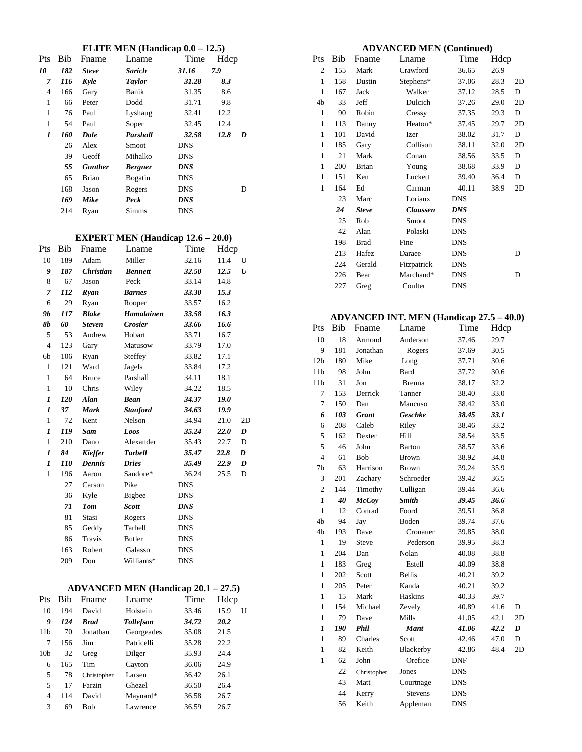#### **ELITE MEN (Handicap 0.0 – 12.5)**

| Pts | <b>Bib</b> | Fname          | Lname          | Time       | Hdcp |   |
|-----|------------|----------------|----------------|------------|------|---|
| 10  | 182        | <b>Steve</b>   | Sarich         | 31.16      | 7.9  |   |
| 7   | 116        | Kyle           | <b>Taylor</b>  | 31.28      | 8.3  |   |
| 4   | 166        | Gary           | Banik          | 31.35      | 8.6  |   |
| 1   | 66         | Peter          | Dodd           | 31.71      | 9.8  |   |
| 1   | 76         | Paul           | Lyshaug        | 32.41      | 12.2 |   |
| 1   | 54         | Paul           | Soper          | 32.45      | 12.4 |   |
| 1   | 160        | Dale           | Parshall       | 32.58      | 12.8 | D |
|     | 26         | Alex           | Smoot          | DNS        |      |   |
|     | 39         | Geoff          | Mihalko        | <b>DNS</b> |      |   |
|     | 55         | <b>Gunther</b> | <b>Bergner</b> | <b>DNS</b> |      |   |
|     | 65         | Brian          | Bogatin        | <b>DNS</b> |      |   |
|     | 168        | Jason          | Rogers         | <b>DNS</b> |      | D |
|     | 169        | Mike           | Peck           | <b>DNS</b> |      |   |
|     | 214        | Ryan           | Simms          | <b>DNS</b> |      |   |
|     |            |                |                |            |      |   |

## **EXPERT MEN (Handicap 12.6 – 20.0)**

| Pts              | Bib | Fname            | Lname           | Time       | Hdcp |    |
|------------------|-----|------------------|-----------------|------------|------|----|
| 10               | 189 | Adam             | Miller          | 32.16      | 11.4 | U  |
| 9                | 187 | <b>Christian</b> | <b>Bennett</b>  | 32.50      | 12.5 | U  |
| 8                | 67  | Jason            | Peck            | 33.14      | 14.8 |    |
| 7                | 112 | Ryan             | <b>Barnes</b>   | 33.30      | 15.3 |    |
| 6                | 29  | Ryan             | Rooper          | 33.57      | 16.2 |    |
| 9b               | 117 | <b>Blake</b>     | Hamalainen      | 33.58      | 16.3 |    |
| <b>8b</b>        | 60  | <b>Steven</b>    | <b>Crosier</b>  | 33.66      | 16.6 |    |
| 5                | 53  | Andrew           | Hobart          | 33.71      | 16.7 |    |
| $\overline{4}$   | 123 | Gary             | Matusow         | 33.79      | 17.0 |    |
| 6 <sub>b</sub>   | 106 | Ryan             | Steffey         | 33.82      | 17.1 |    |
| 1                | 121 | Ward             | Jagels          | 33.84      | 17.2 |    |
| 1                | 64  | <b>Bruce</b>     | Parshall        | 34.11      | 18.1 |    |
| 1                | 10  | Chris            | Wiley           | 34.22      | 18.5 |    |
| 1                | 120 | Alan             | <b>Bean</b>     | 34.37      | 19.0 |    |
| $\boldsymbol{l}$ | 37  | <b>Mark</b>      | <b>Stanford</b> | 34.63      | 19.9 |    |
| $\mathbf{1}$     | 72  | Kent             | Nelson          | 34.94      | 21.0 | 2D |
| 1                | 119 | <b>Sam</b>       | Loos            | 35.24      | 22.0 | D  |
| $\mathbf{1}$     | 210 | Dano             | Alexander       | 35.43      | 22.7 | D  |
| 1                | 84  | <b>Kieffer</b>   | <b>Tarbell</b>  | 35.47      | 22.8 | D  |
| 1                | 110 | <b>Dennis</b>    | <b>Dries</b>    | 35.49      | 22.9 | D  |
| $\mathbf{1}$     | 196 | Aaron            | Sandore*        | 36.24      | 25.5 | D  |
|                  | 27  | Carson           | Pike            | <b>DNS</b> |      |    |
|                  | 36  | Kyle             | Bigbee          | <b>DNS</b> |      |    |
|                  | 71  | <b>Tom</b>       | <b>Scott</b>    | <b>DNS</b> |      |    |
|                  | 81  | Stasi            | Rogers          | <b>DNS</b> |      |    |
|                  | 85  | Geddy            | Tarbell         | <b>DNS</b> |      |    |
|                  | 86  | Travis           | <b>Butler</b>   | <b>DNS</b> |      |    |
|                  | 163 | Robert           | Galasso         | <b>DNS</b> |      |    |
|                  | 209 | Don              | Williams*       | <b>DNS</b> |      |    |

## **ADVANCED MEN (Handicap 20.1 – 27.5)**

| Pts             | Bih | Fname       | Lname            | Time  | Hdcp |   |
|-----------------|-----|-------------|------------------|-------|------|---|
| 10              | 194 | David       | Holstein         | 33.46 | 15.9 | U |
| 9               | 124 | <b>Brad</b> | <b>Tollefson</b> | 34.72 | 20.2 |   |
| 11 <sub>b</sub> | 70  | Jonathan    | Georgeades       | 35.08 | 21.5 |   |
| 7               | 156 | Jim         | Patricelli       | 35.28 | 22.2 |   |
| 10 <sub>b</sub> | 32  | Greg        | Dilger           | 35.93 | 24.4 |   |
| 6               | 165 | Tim         | Cayton           | 36.06 | 24.9 |   |
| 5               | 78  | Christopher | Larsen           | 36.42 | 26.1 |   |
| 5               | 17  | Farzin      | Ghezel           | 36.50 | 26.4 |   |
| 4               | 114 | David       | Maynard*         | 36.58 | 26.7 |   |
| 3               | 69  | Bob         | Lawrence         | 36.59 | 26.7 |   |

| <b>ADVANCED MEN (Continued)</b> |     |              |             |       |      |    |  |
|---------------------------------|-----|--------------|-------------|-------|------|----|--|
| Pts                             | Bib | Fname        | Lname       | Time  | Hdcp |    |  |
| 2                               | 155 | Mark         | Crawford    | 36.65 | 26.9 |    |  |
| 1                               | 158 | Dustin       | Stephens*   | 37.06 | 28.3 | 2D |  |
| 1                               | 167 | Jack         | Walker      | 37.12 | 28.5 | D  |  |
| 4b                              | 33  | Jeff         | Dulcich     | 37.26 | 29.0 | 2D |  |
| 1                               | 90  | Robin        | Cressy      | 37.35 | 29.3 | D  |  |
| 1                               | 113 | Danny        | Heaton*     | 37.45 | 29.7 | 2D |  |
| 1                               | 101 | David        | <b>Izer</b> | 38.02 | 31.7 | D  |  |
| 1                               | 185 | Gary         | Collison    | 38.11 | 32.0 | 2D |  |
| 1                               | 21  | Mark         | Conan       | 38.56 | 33.5 | D  |  |
| 1                               | 200 | <b>Brian</b> | Young       | 38.68 | 33.9 | D  |  |
| 1                               | 151 | Ken          | Luckett     | 39.40 | 36.4 | D  |  |
| 1                               | 164 | Ed           | Carman      | 40.11 | 38.9 | 2D |  |

| 1 | 164 | Ed           | Carman          | 40.11      | 38.9 | 2D |
|---|-----|--------------|-----------------|------------|------|----|
|   | 23  | Marc         | Loriaux         | <b>DNS</b> |      |    |
|   | 24  | <b>Steve</b> | <b>Claussen</b> | DNS        |      |    |
|   | 25  | Rob          | Smoot           | <b>DNS</b> |      |    |
|   | 42  | Alan         | Polaski         | <b>DNS</b> |      |    |
|   | 198 | <b>Brad</b>  | Fine            | <b>DNS</b> |      |    |
|   | 213 | Hafez        | Daraee          | <b>DNS</b> |      | D  |
|   | 224 | Gerald       | Fitzpatrick     | <b>DNS</b> |      |    |
|   | 226 | Bear         | Marchand*       | DNS        |      | D  |
|   | 227 | Greg         | Coulter         | <b>DNS</b> |      |    |

## **ADVANCED INT. MEN (Handicap 27.5 – 40.0)**

| Pts              | <b>Bib</b> | Fname        | Lname          | Time       | Hdcp |    |
|------------------|------------|--------------|----------------|------------|------|----|
| 10               | 18         | Armond       | Anderson       | 37.46      | 29.7 |    |
| 9                | 181        | Jonathan     | Rogers         | 37.69      | 30.5 |    |
| 12 <sub>b</sub>  | 180        | Mike         | Long           | 37.71      | 30.6 |    |
| 11 <sub>b</sub>  | 98         | John         | Bard           | 37.72      | 30.6 |    |
| 11 <sub>b</sub>  | 31         | Jon          | <b>Brenna</b>  | 38.17      | 32.2 |    |
| 7                | 153        | Derrick      | Tanner         | 38.40      | 33.0 |    |
| 7                | 150        | Dan          | Mancuso        | 38.42      | 33.0 |    |
| 6                | 103        | <b>Grant</b> | Geschke        | 38.45      | 33.1 |    |
| 6                | 208        | Caleb        | Riley          | 38.46      | 33.2 |    |
| 5                | 162        | Dexter       | Hill           | 38.54      | 33.5 |    |
| 5                | 46         | John         | <b>Barton</b>  | 38.57      | 33.6 |    |
| $\overline{4}$   | 61         | Bob          | <b>Brown</b>   | 38.92      | 34.8 |    |
| 7b               | 63         | Harrison     | <b>Brown</b>   | 39.24      | 35.9 |    |
| 3                | 201        | Zachary      | Schroeder      | 39.42      | 36.5 |    |
| $\overline{c}$   | 144        | Timothy      | Culligan       | 39.44      | 36.6 |    |
| $\boldsymbol{l}$ | 40         | <b>McCoy</b> | <b>Smith</b>   | 39.45      | 36.6 |    |
| $\mathbf{1}$     | 12         | Conrad       | Foord          | 39.51      | 36.8 |    |
| 4b               | 94         | Jay          | Boden          | 39.74      | 37.6 |    |
| 4b               | 193        | Dave         | Cronauer       | 39.85      | 38.0 |    |
| 1                | 19         | Steve        | Pederson       | 39.95      | 38.3 |    |
| $\mathbf{1}$     | 204        | Dan          | Nolan          | 40.08      | 38.8 |    |
| $\mathbf{1}$     | 183        | Greg         | Estell         | 40.09      | 38.8 |    |
| $\mathbf{1}$     | 202        | Scott        | <b>Bellis</b>  | 40.21      | 39.2 |    |
| $\mathbf{1}$     | 205        | Peter        | Kanda          | 40.21      | 39.2 |    |
| $\mathbf{1}$     | 15         | Mark         | Haskins        | 40.33      | 39.7 |    |
| $\mathbf{1}$     | 154        | Michael      | Zevely         | 40.89      | 41.6 | D  |
| $\mathbf{1}$     | 79         | Dave         | Mills          | 41.05      | 42.1 | 2D |
| $\boldsymbol{l}$ | 190        | <b>Phil</b>  | <b>Mant</b>    | 41.06      | 42.2 | D  |
| $\mathbf{1}$     | 89         | Charles      | Scott          | 42.46      | 47.0 | D  |
| $\mathbf{1}$     | 82         | Keith        | Blackerby      | 42.86      | 48.4 | 2D |
| $\mathbf{1}$     | 62         | John         | Orefice        | <b>DNF</b> |      |    |
|                  | 22         | Christopher  | Jones          | <b>DNS</b> |      |    |
|                  | 43         | Matt         | Courtnage      | <b>DNS</b> |      |    |
|                  | 44         | Kerry        | <b>Stevens</b> | <b>DNS</b> |      |    |
|                  | 56         | Keith        | Appleman       | <b>DNS</b> |      |    |
|                  |            |              |                |            |      |    |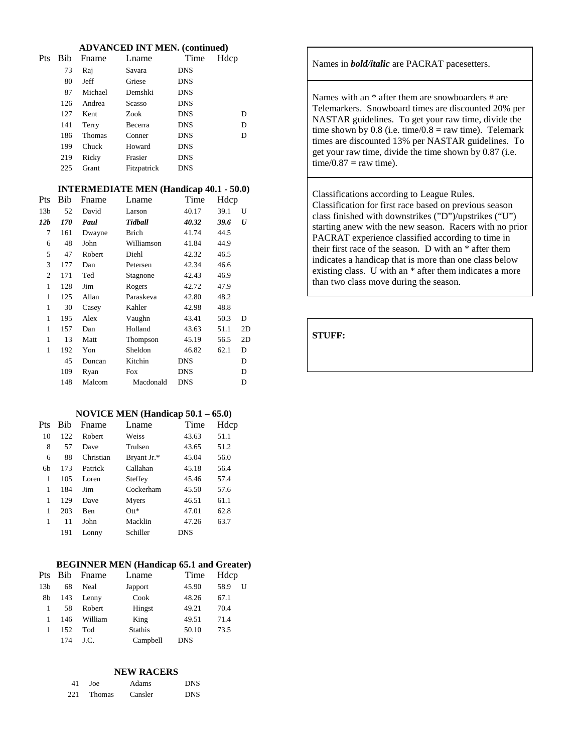#### **ADVANCED INT MEN. (continued)**

| Pts | <b>Bib</b> | Fname         | Lname       | Time       | Hdcp |
|-----|------------|---------------|-------------|------------|------|
|     | 73         | Raj           | Savara      | <b>DNS</b> |      |
|     | 80         | Jeff          | Griese      | <b>DNS</b> |      |
|     | 87         | Michael       | Demshki     | <b>DNS</b> |      |
|     | 126        | Andrea        | Scasso      | <b>DNS</b> |      |
|     | 127        | Kent          | Zook        | <b>DNS</b> | D    |
|     | 141        | Terry         | Becerra     | <b>DNS</b> | D    |
|     | 186        | <b>Thomas</b> | Conner      | <b>DNS</b> | D    |
|     | 199        | Chuck         | Howard      | <b>DNS</b> |      |
|     | 219        | Ricky         | Frasier     | <b>DNS</b> |      |
|     | 225        | Grant         | Fitzpatrick | <b>DNS</b> |      |

#### **INTERMEDIATE MEN (Handicap 40.1 - 50.0)**

| Bib        | Fname  | Lname        | Time       |      |                  |
|------------|--------|--------------|------------|------|------------------|
| 52         | David  | Larson       | 40.17      | 39.1 | U                |
| <i>170</i> | Paul   | Tidball      | 40.32      | 39.6 | $\boldsymbol{U}$ |
| 161        | Dwayne | <b>Brich</b> | 41.74      | 44.5 |                  |
| 48         | John   | Williamson   | 41.84      | 44.9 |                  |
| 47         | Robert | Diehl        | 42.32      | 46.5 |                  |
| 177        | Dan    | Petersen     | 42.34      | 46.6 |                  |
| 171        | Ted    | Stagnone     | 42.43      | 46.9 |                  |
| 128        | Jim    | Rogers       | 42.72      | 47.9 |                  |
| 125        | Allan  | Paraskeva    | 42.80      | 48.2 |                  |
| 30         | Casey  | Kahler       | 42.98      | 48.8 |                  |
| 195        | Alex   | Vaughn       | 43.41      | 50.3 | D                |
| 157        | Dan    | Holland      | 43.63      | 51.1 | 2D               |
| 13         | Matt   | Thompson     | 45.19      | 56.5 | 2D               |
| 192        | Yon    | Sheldon      | 46.82      | 62.1 | D                |
| 45         | Duncan | Kitchin      | <b>DNS</b> |      | D                |
| 109        | Ryan   | Fox          | DNS        |      | D                |
| 148        | Malcom | Macdonald    | DNS        |      | D                |
|            |        |              |            |      | Hdcp             |

#### **NOVICE MEN (Handicap 50.1 – 65.0)**

| Pts            | Bib | Fname       | Lname       | Time       | Hdcp |
|----------------|-----|-------------|-------------|------------|------|
| 10             | 122 | Robert      | Weiss       | 43.63      | 51.1 |
| 8              | 57  | Dave        | Trulsen     | 43.65      | 51.2 |
| 6              | 88  | Christian   | Bryant Jr.* | 45.04      | 56.0 |
| 6 <sub>h</sub> | 173 | Patrick     | Callahan    | 45.18      | 56.4 |
| 1              | 105 | Loren       | Steffey     | 45.46      | 57.4 |
| 1              | 184 | Jim         | Cockerham   | 45.50      | 57.6 |
| 1              | 129 | Dave        | Myers       | 46.51      | 61.1 |
| 1              | 203 | <b>B</b> en | $Qtt*$      | 47.01      | 62.8 |
| 1              | 11  | John        | Macklin     | 47.26      | 63.7 |
|                | 191 | Lonny       | Schiller    | <b>DNS</b> |      |
|                |     |             |             |            |      |

#### **BEGINNER MEN (Handicap 65.1 and Greater)**

|                 |     | Pts Bib Fname | Lname          | Time       | Hdcp |   |
|-----------------|-----|---------------|----------------|------------|------|---|
| 13 <sub>b</sub> | 68  | Neal          | Japport        | 45.90      | 58.9 | U |
| 8b              | 143 | Lenny         | Cook           | 48.26      | 67.1 |   |
| 1               | 58  | Robert        | Hingst         | 49.21      | 70.4 |   |
| 1               | 146 | William       | King           | 49.51      | 71.4 |   |
|                 | 152 | Tod           | <b>Stathis</b> | 50.10      | 73.5 |   |
|                 | 174 | J.C.          | Campbell       | <b>DNS</b> |      |   |

#### **NEW RACERS**

| 41  | Joe           | Adams   | <b>DNS</b> |
|-----|---------------|---------|------------|
| 221 | <b>Thomas</b> | Cansler | <b>DNS</b> |

Names in *bold/italic* are PACRAT pacesetters.

Names with an \* after them are snowboarders # are Telemarkers. Snowboard times are discounted 20% per NASTAR guidelines. To get your raw time, divide the time shown by 0.8 (i.e. time/0.8 = raw time). Telemark times are discounted 13% per NASTAR guidelines. To get your raw time, divide the time shown by 0.87 (i.e.  $time/0.87 = raw time$ ).

Classifications according to League Rules. Classification for first race based on previous season class finished with downstrikes ("D")/upstrikes ("U") starting anew with the new season. Racers with no prior PACRAT experience classified according to time in their first race of the season. D with an \* after them indicates a handicap that is more than one class below existing class. U with an \* after them indicates a more than two class move during the season.

**STUFF:**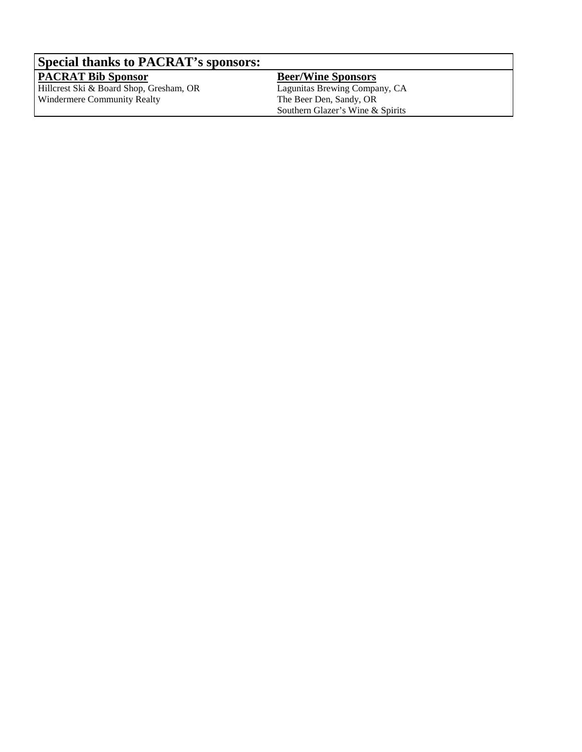# **Special thanks to PACRAT's sponsors:**

**PACRAT Bib Sponsor** Hillcrest Ski & Board Shop, Gresham, OR Windermere Community Realty

**Beer/Wine Sponsors** Lagunitas Brewing Company, CA The Beer Den, Sandy, OR Southern Glazer's Wine & Spirits